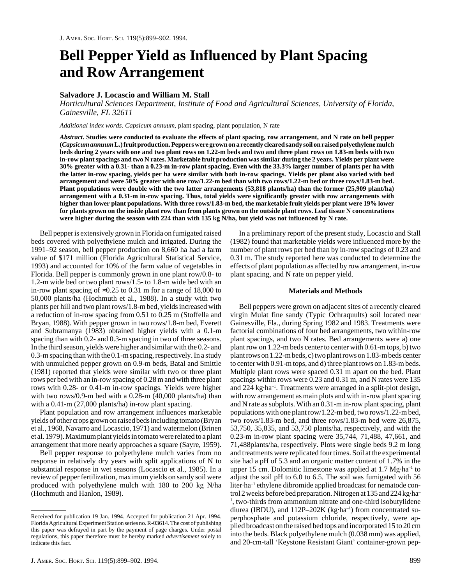# **Bell Pepper Yield as Influenced by Plant Spacing and Row Arrangement**

# **Salvadore J. Locascio and William M. Stall**

*Horticultural Sciences Department, Institute of Food and Agricultural Sciences, University of Florida, Gainesville, FL 32611*

*Additional index words. Capsicum annuum,* plant spacing, plant population, N rate

*Abstract***. Studies were conducted to evaluate the effects of plant spacing, row arrangement, and N rate on bell pepper (***Capsicum annuum* **L.) fruit production. Peppers were grown on a recently cleared sandy soil on raised polyethylene mulch beds during 2 years with one and two plant rows on 1.22-m beds and two and three plant rows on 1.83-m beds with two in-row plant spacings and two N rates. Marketable fruit production was similar during the 2 years. Yields per plant were 30% greater with a 0.31- than a 0.23-m in-row plant spacing. Even with the 33.3% larger number of plants per ha with the latter in-row spacing, yields per ha were similar with both in-row spacings. Yields per plant also varied with bed arrangement and were 50% greater with one row/1.22-m bed than with two rows/1.22-m bed or three rows/1.83-m bed. Plant populations were double with the two latter arrangements (53,818 plants/ha) than the former (25,909 plant/ha) arrangement with a 0.31-m in-row spacing. Thus, total yields were significantly greater with row arrangements with higher than lower plant populations. With three rows/1.83-m bed, the marketable fruit yields per plant were 19% lower for plants grown on the inside plant row than from plants grown on the outside plant rows. Leaf tissue N concentrations were higher during the season with 224 than with 135 kg N/ha, but yield was not influenced by N rate.**

Bell pepper is extensively grown in Florida on fumigated raised beds covered with polyethylene mulch and irrigated. During the 1991–92 season, bell pepper production on 8,660 ha had a farm value of \$171 million (Florida Agricultural Statistical Service, 1993) and accounted for 10% of the farm value of vegetables in Florida. Bell pepper is commonly grown in one plant row/0.8- to 1.2-m wide bed or two plant rows/1.5- to 1.8-m wide bed with an in-row plant spacing of ≈0.25 to 0.31 m for a range of 18,000 to 50,000 plants/ha (Hochmuth et al., 1988). In a study with two plants per hill and two plant rows/1.8-m bed, yields increased with a reduction of in-row spacing from 0.51 to 0.25 m (Stoffella and Bryan, 1988). With pepper grown in two rows/1.8-m bed, Everett and Subramanya (1983) obtained higher yields with a 0.1-m spacing than with 0.2- and 0.3-m spacing in two of three seasons. In the third season, yields were higher and similar with the 0.2- and 0.3-m spacing than with the 0.1-m spacing, respectively. In a study with unmulched pepper grown on 0.9-m beds, Batal and Smittle (1981) reported that yields were similar with two or three plant rows per bed with an in-row spacing of 0.28 m and with three plant rows with 0.28- or 0.41-m in-row spacings. Yields were higher with two rows/0.9-m bed with a 0.28-m (40,000 plants/ha) than with a 0.41-m (27,000 plants/ha) in-row plant spacing.

Plant population and row arrangement influences marketable yields of other crops grown on raised beds including tomato (Bryan et al., 1968, Navarro and Locascio, 1971) and watermelon (Brinen et al. 1979). Maximum plant yields in tomato were related to a plant arrangement that more nearly approaches a square (Sayre, 1959).

Bell pepper response to polyethylene mulch varies from no response in relatively dry years with split applications of N to substantial response in wet seasons (Locascio et al., 1985). In a review of pepper fertilization, maximum yields on sandy soil were produced with polyethylene mulch with 180 to 200 kg N/ha (Hochmuth and Hanlon, 1989).

In a preliminary report of the present study, Locascio and Stall (1982) found that marketable yields were influenced more by the number of plant rows per bed than by in-row spacings of 0.23 and 0.31 m. The study reported here was conducted to determine the effects of plant population as affected by row arrangement, in-row plant spacing, and N rate on pepper yield.

#### **Materials and Methods**

Bell peppers were grown on adjacent sites of a recently cleared virgin Mulat fine sandy (Typic Ochraquults) soil located near Gainesville, Fla., during Spring 1982 and 1983. Treatments were factorial combinations of four bed arrangements, two within-row plant spacings, and two N rates. Bed arrangements were a) one plant row on 1.22-m beds center to center with 0.61-m tops, b) two plant rows on 1.22-m beds, c) two plant rows on 1.83-m beds center to center with 0.91-m tops, and d) three plant rows on 1.83-m beds. Multiple plant rows were spaced 0.31 m apart on the bed. Plant spacings within rows were 0.23 and 0.31 m, and N rates were 135 and 224 kg·ha–1. Treatments were arranged in a split-plot design, with row arrangement as main plots and with in-row plant spacing and N rate as subplots. With an 0.31-m in-row plant spacing, plant populations with one plant row/1.22-m bed, two rows/1.22-m bed, two rows/1.83-m bed, and three rows/1.83-m bed were 26,875, 53,750, 35,835, and 53,750 plants/ha, respectively, and with the 0.23-m in-row plant spacing were 35,744, 71,488, 47,661, and 71,488plants/ha, respectively. Plots were single beds 9.2 m long and treatments were replicated four times. Soil at the experimental site had a pH of 5.3 and an organic matter content of 1.7% in the upper 15 cm. Dolomitic limestone was applied at  $1.7 \text{ Mg} \cdot \text{ha}^{-1}$  to adjust the soil pH to 6.0 to 6.5. The soil was fumigated with 56 liter·ha<sup>-1</sup> ethylene dibromide applied broadcast for nematode control 2 weeks before bed preparation. Nitrogen at 135 and 224 kg·ha– <sup>1</sup>, two-thirds from ammonium nitrate and one-third isobutylidene diurea (IBDU), and 112P-202K (kg·ha<sup>-1</sup>) from concentrated superphosphate and potassium chloride, respectively, were applied broadcast on the raised bed tops and incorporated 15 to 20 cm into the beds. Black polyethylene mulch (0.038 mm) was applied, and 20-cm-tall 'Keystone Resistant Giant' container-grown pep-

Received for publication 19 Jan. 1994. Accepted for publication 21 Apr. 1994. Florida Agricultural Experiment Station series no. R-03614. The cost of publishing this paper was defrayed in part by the payment of page charges. Under postal regulations, this paper therefore must be hereby marked *advertisement* solely to indicate this fact.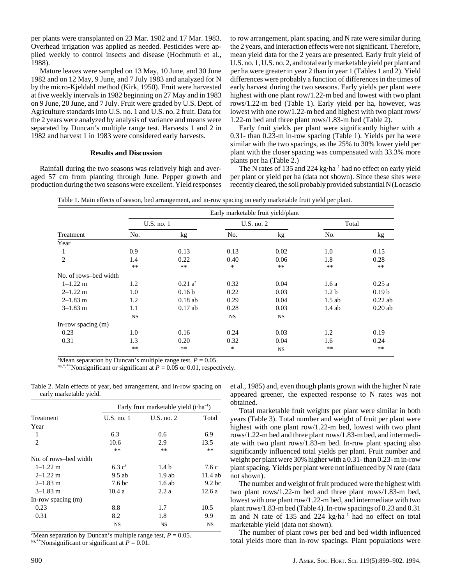per plants were transplanted on 23 Mar. 1982 and 17 Mar. 1983. Overhead irrigation was applied as needed. Pesticides were applied weekly to control insects and disease (Hochmuth et al., 1988).

Mature leaves were sampled on 13 May, 10 June, and 30 June 1982 and on 12 May, 9 June, and 7 July 1983 and analyzed for N by the micro-Kjeldahl method (Kirk, 1950). Fruit were harvested at five weekly intervals in 1982 beginning on 27 May and in 1983 on 9 June, 20 June, and 7 July. Fruit were graded by U.S. Dept. of Agriculture standards into U.S. no. 1 and U.S. no. 2 fruit. Data for the 2 years were analyzed by analysis of variance and means were separated by Duncan's multiple range test. Harvests 1 and 2 in 1982 and harvest 1 in 1983 were considered early harvests.

## **Results and Discussion**

Rainfall during the two seasons was relatively high and averaged 57 cm from planting through June. Pepper growth and production during the two seasons were excellent. Yield responses to row arrangement, plant spacing, and N rate were similar during the 2 years, and interaction effects were not significant. Therefore, mean yield data for the 2 years are presented. Early fruit yield of U.S. no. 1, U.S. no. 2, and total early marketable yield per plant and per ha were greater in year 2 than in year 1 (Tables 1 and 2). Yield differences were probably a function of differences in the times of early harvest during the two seasons. Early yields per plant were highest with one plant row/1.22-m bed and lowest with two plant rows/1.22-m bed (Table 1). Early yield per ha, however, was lowest with one row/1.22-m bed and highest with two plant rows/ 1.22-m bed and three plant rows/1.83-m bed (Table 2).

Early fruit yields per plant were significantly higher with a 0.31- than 0.23-m in-row spacing (Table 1). Yields per ha were similar with the two spacings, as the 25% to 30% lower yield per plant with the closer spacing was compensated with 33.3% more plants per ha (Table 2.)

The N rates of 135 and 224 kg·ha<sup>-1</sup> had no effect on early yield per plant or yield per ha (data not shown). Since these sites were recently cleared, the soil probably provided substantial N (Locascio

Table 1. Main effects of season, bed arrangement, and in-row spacing on early marketable fruit yield per plant.

| Treatment             |            | Early marketable fruit yield/plant |            |                 |                  |                   |  |  |
|-----------------------|------------|------------------------------------|------------|-----------------|------------------|-------------------|--|--|
|                       | U.S. no. 1 |                                    | U.S. no. 2 |                 | Total            |                   |  |  |
|                       | No.        | kg                                 | No.        | kg <sub>2</sub> | No.              | kg                |  |  |
| Year                  |            |                                    |            |                 |                  |                   |  |  |
|                       | 0.9        | 0.13                               | 0.13       | 0.02            | 1.0              | 0.15              |  |  |
| $\overline{2}$        | 1.4        | 0.22                               | 0.40       | 0.06            | 1.8              | 0.28              |  |  |
|                       | $**$       | $***$                              | $\ast$     | $**$            | $**$             | $**$              |  |  |
| No. of rows-bed width |            |                                    |            |                 |                  |                   |  |  |
| $1 - 1.22$ m          | 1.2        | $0.21 a^2$                         | 0.32       | 0.04            | 1.6a             | 0.25a             |  |  |
| $2 - 1.22$ m          | 1.0        | 0.16 <sub>b</sub>                  | 0.22       | 0.03            | 1.2 <sub>b</sub> | 0.19 <sub>b</sub> |  |  |
| $2 - 1.83$ m          | 1.2        | $0.18$ ab                          | 0.29       | 0.04            | $1.5$ ab         | $0.22$ ab         |  |  |
| $3 - 1.83$ m          | 1.1        | $0.17$ ab                          | 0.28       | 0.03            | $1.4$ ab         | $0.20$ ab         |  |  |
|                       | <b>NS</b>  |                                    | <b>NS</b>  | <b>NS</b>       |                  |                   |  |  |
| In-row spacing (m)    |            |                                    |            |                 |                  |                   |  |  |
| 0.23                  | 1.0        | 0.16                               | 0.24       | 0.03            | 1.2              | 0.19              |  |  |
| 0.31                  | 1.3        | 0.20                               | 0.32       | 0.04            | 1.6              | 0.24              |  |  |
|                       | $**$       | $***$                              | $\ast$     | <b>NS</b>       | $**$             | $\ast\ast$        |  |  |

<sup>z</sup>Mean separation by Duncan's multiple range test,  $P = 0.05$ .

<sup>NS,\*,\*\*</sup>Nonsignificant or significant at  $P = 0.05$  or 0.01, respectively.

Table 2. Main effects of year, bed arrangement, and in-row spacing on early marketable yield.

|                       | Early fruit marketable yield $(t \cdot ha^{-1})$ |                  |                   |  |  |
|-----------------------|--------------------------------------------------|------------------|-------------------|--|--|
| Treatment             | $U.S.$ no. 1                                     | $U.S.$ no. $2$   | Total             |  |  |
| Year                  |                                                  |                  |                   |  |  |
| 1                     | 6.3                                              | 0.6              | 6.9               |  |  |
| $\mathfrak{D}$        | 10.6                                             | 2.9              | 13.5              |  |  |
|                       | **                                               | $**$             | $***$             |  |  |
| No. of rows-bed width |                                                  |                  |                   |  |  |
| $1 - 1.22$ m          | 6.3 $c^2$                                        | 1.4 <sub>b</sub> | 7.6c              |  |  |
| $2 - 1.22$ m          | $9.5$ ab                                         | 1.9ab            | $11.4$ ab         |  |  |
| $2 - 1.83$ m          | 7.6 <sub>bc</sub>                                | $1.6$ ab         | 9.2 <sub>bc</sub> |  |  |
| $3 - 1.83$ m          | 10.4a                                            | 2.2a             | 12.6a             |  |  |
| In-row spacing (m)    |                                                  |                  |                   |  |  |
| 0.23                  | 8.8                                              | 1.7              | 10.5              |  |  |
| 0.31                  | 8.2                                              | 1.8              | 9.9               |  |  |
|                       | NS                                               | NS               | <b>NS</b>         |  |  |

<sup>z</sup>Mean separation by Duncan's multiple range test,  $P = 0.05$ . <sup>NS,\*\*</sup>Nonsignificant or significant at  $P = 0.01$ .

et al., 1985) and, even though plants grown with the higher N rate appeared greener, the expected response to N rates was not obtained.

Total marketable fruit weights per plant were similar in both years (Table 3). Total number and weight of fruit per plant were highest with one plant row/1.22-m bed, lowest with two plant rows/1.22-m bed and three plant rows/1.83-m bed, and intermediate with two plant rows/1.83-m bed. In-row plant spacing also significantly influenced total yields per plant. Fruit number and weight per plant were 30% higher with a 0.31- than 0.23- m in-row plant spacing. Yields per plant were not influenced by N rate (data not shown).

The number and weight of fruit produced were the highest with two plant rows/1.22-m bed and three plant rows/1.83-m bed, lowest with one plant row/1.22-m bed, and intermediate with two plant rows/1.83-m bed (Table 4). In-row spacings of 0.23 and 0.31 m and N rate of 135 and 224 kg·ha<sup>-1</sup> had no effect on total marketable yield (data not shown).

The number of plant rows per bed and bed width influenced total yields more than in-row spacings. Plant populations were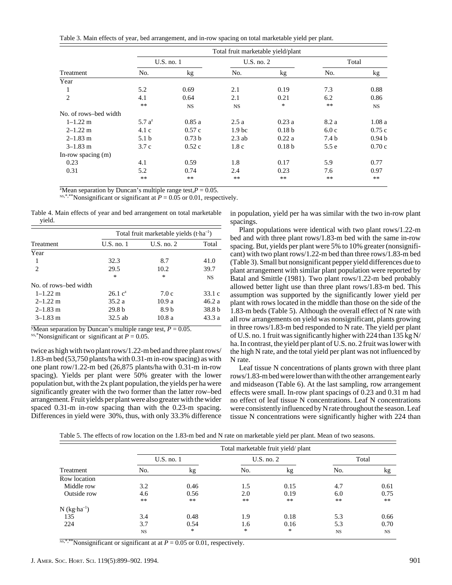Table 3. Main effects of year, bed arrangement, and in-row spacing on total marketable yield per plant.

|                       |                  |                   | Total fruit marketable yield/plant |                   |       |                   |
|-----------------------|------------------|-------------------|------------------------------------|-------------------|-------|-------------------|
|                       |                  | $U.S.$ no. 1      | $U.S.$ no. $2$                     |                   |       | Total             |
| Treatment             | No.              | kg                | No.                                | kg                | No.   | kg                |
| Year                  |                  |                   |                                    |                   |       |                   |
| $\perp$               | 5.2              | 0.69              | 2.1                                | 0.19              | 7.3   | 0.88              |
| $\overline{2}$        | 4.1              | 0.64              | 2.1                                | 0.21              | 6.2   | 0.86              |
|                       | $***$            | <b>NS</b>         | <b>NS</b>                          | *                 | $***$ | NS.               |
| No. of rows-bed width |                  |                   |                                    |                   |       |                   |
| $1 - 1.22$ m          | 5.7 $a^z$        | 0.85a             | 2.5a                               | 0.23a             | 8.2 a | 1.08a             |
| $2 - 1.22$ m          | 4.1c             | 0.57c             | 1.9 <sub>bc</sub>                  | 0.18 <sub>b</sub> | 6.0c  | 0.75c             |
| $2 - 1.83$ m          | 5.1 <sub>b</sub> | 0.73 <sub>b</sub> | $2.3$ ab                           | 0.22a             | 7.4 b | 0.94 <sub>b</sub> |
| $3-1.83$ m            | 3.7c             | 0.52c             | 1.8c                               | 0.18 <sub>b</sub> | 5.5e  | 0.70c             |
| In-row spacing $(m)$  |                  |                   |                                    |                   |       |                   |
| 0.23                  | 4.1              | 0.59              | 1.8                                | 0.17              | 5.9   | 0.77              |
| 0.31                  | 5.2              | 0.74              | 2.4                                | 0.23              | 7.6   | 0.97              |
|                       | $***$            | $***$             | $***$                              | $***$             | $***$ | $***$             |

<sup>z</sup>Mean separation by Duncan's multiple range test, $P = 0.05$ .

<sup>NS,\*,\*\*</sup>Nonsignificant or significant at  $P = 0.05$  or 0.01, respectively.

Table 4. Main effects of year and bed arrangement on total marketable yield.

|                             | Total fruit marketable yields $(t \cdot ha^{-1})$ |                  |           |  |
|-----------------------------|---------------------------------------------------|------------------|-----------|--|
| <b>Treatment</b>            | $U.S.$ no. 1                                      | $U.S.$ no. $2$   | Total     |  |
| Year                        |                                                   |                  |           |  |
| 1                           | 32.3                                              | 8.7              | 41.0      |  |
| $\mathcal{D}_{\mathcal{L}}$ | 29.5                                              | 10.2             | 39.7      |  |
|                             | $\ast$                                            | ∗                | <b>NS</b> |  |
| No. of rows-bed width       |                                                   |                  |           |  |
| $1 - 1.22$ m                | 26.1 c <sup>2</sup>                               | 7.0c             | 33.1 $c$  |  |
| $2 - 1.22$ m                | 35.2 a                                            | 10.9a            | 46.2a     |  |
| $2 - 1.83$ m                | 29.8 <sub>b</sub>                                 | 8.9 <sub>b</sub> | 38.8 b    |  |
| $3 - 1.83$ m                | $32.5$ ab                                         | 10.8a            | 43.3 a    |  |

<sup>y</sup>Mean separation by Duncan's multiple range test,  $P = 0.05$ . <sup>NS,\*</sup>Nonsignificant or significant at  $P = 0.05$ .

twice as high with two plant rows/1.22-m bed and three plant rows/ 1.83-m bed (53,750 plants/ha with 0.31-m in-row spacing) as with one plant row/1.22-m bed (26,875 plants/ha with 0.31-m in-row spacing). Yields per plant were 50% greater with the lower population but, with the 2x plant population, the yields per ha were significantly greater with the two former than the latter row–bed arrangement. Fruit yields per plant were also greater with the wider spaced 0.31-m in-row spacing than with the 0.23-m spacing. Differences in yield were 30%, thus, with only 33.3% difference

in population, yield per ha was similar with the two in-row plant spacings.

Plant populations were identical with two plant rows/1.22-m bed and with three plant rows/1.83-m bed with the same in-row spacing. But, yields per plant were 5% to 10% greater (nonsignificant) with two plant rows/1.22-m bed than three rows/1.83-m bed (Table 3). Small but nonsignificant pepper yield differences due to plant arrangement with similar plant population were reported by Batal and Smittle (1981). Two plant rows/1.22-m bed probably allowed better light use than three plant rows/1.83-m bed. This assumption was supported by the significantly lower yield per plant with rows located in the middle than those on the side of the 1.83-m beds (Table 5). Although the overall effect of N rate with all row arrangements on yield was nonsignificant, plants growing in three rows/1.83-m bed responded to N rate. The yield per plant of U.S. no. 1 fruit was significantly higher with 224 than 135 kg N/ ha. In contrast, the yield per plant of U.S. no. 2 fruit was lower with the high N rate, and the total yield per plant was not influenced by N rate.

Leaf tissue N concentrations of plants grown with three plant rows/1.83-m bed were lower than with the other arrangement early and midseason (Table 6). At the last sampling, row arrangement effects were small. In-row plant spacings of 0.23 and 0.31 m had no effect of leaf tissue N concentrations. Leaf N concentrations were consistently influenced by N rate throughout the season. Leaf tissue N concentrations were significantly higher with 224 than

Table 5. The effects of row location on the 1.83-m bed and N rate on marketable yield per plant. Mean of two seasons.

|                                    | Total marketable fruit yield/plant |              |                |      |           |           |
|------------------------------------|------------------------------------|--------------|----------------|------|-----------|-----------|
|                                    |                                    | $U.S.$ no. 1 | $U.S.$ no. $2$ |      |           | Total     |
| Treatment                          | No.                                | kg           | No.            | kg   | No.       | kg        |
| Row location                       |                                    |              |                |      |           |           |
| Middle row                         | 3.2                                | 0.46         | 1.5            | 0.15 | 4.7       | 0.61      |
| Outside row                        | 4.6                                | 0.56         | 2.0            | 0.19 | 6.0       | 0.75      |
|                                    | $***$                              | $**$         | $***$          | **   | **        | $***$     |
| $N$ (kg $\cdot$ ha <sup>-1</sup> ) |                                    |              |                |      |           |           |
| 135                                | 3.4                                | 0.48         | 1.9            | 0.18 | 5.3       | 0.66      |
| 224                                | 3.7                                | 0.54         | 1.6            | 0.16 | 5.3       | 0.70      |
|                                    | <b>NS</b>                          | ∗            | *              | *    | <b>NS</b> | <b>NS</b> |

 $N$ <sup>s,\*,\*\*</sup>Nonsignificant or significant at at  $P = 0.05$  or 0.01, respectively.